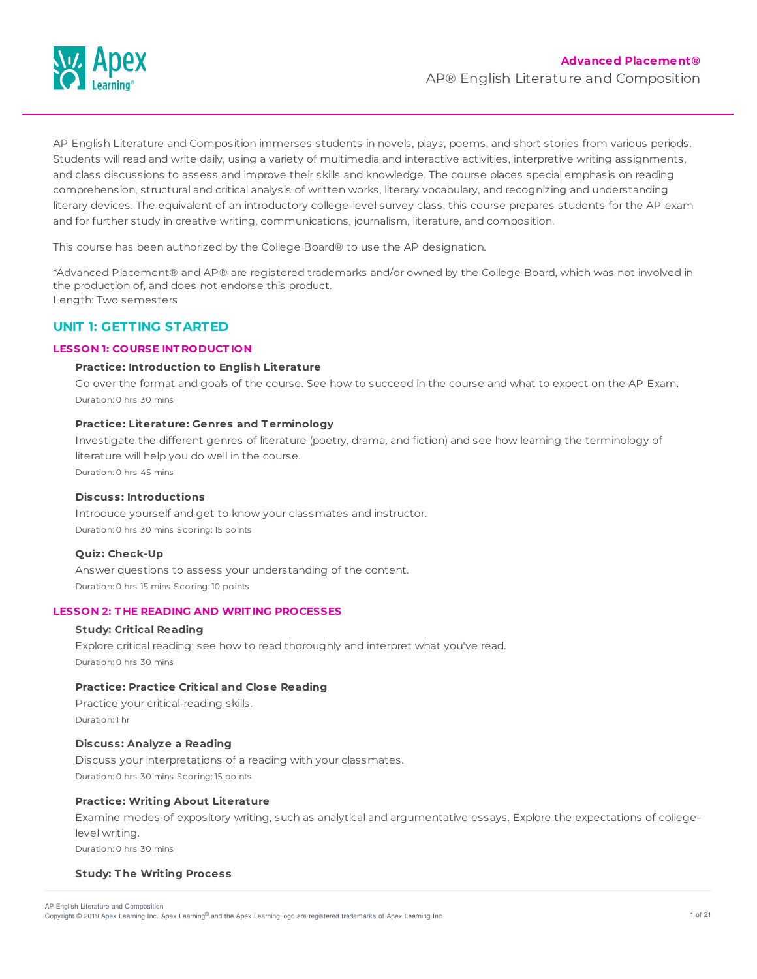

AP English Literature and Composition immerses students in novels, plays, poems, and short stories from various periods. Students will read and write daily, using a variety of multimedia and interactive activities, interpretive writing assignments, and class discussions to assess and improve their skills and knowledge. The course places special emphasis on reading comprehension, structural and critical analysis of written works, literary vocabulary, and recognizing and understanding literary devices. The equivalent of an introductory college-level survey class, this course prepares students for the AP exam and for further study in creative writing, communications, journalism, literature, and composition.

This course has been authorized by the College Board® to use the AP designation.

\*Advanced Placement® and AP® are registered trademarks and/or owned by the College Board, which was not involved in the production of, and does not endorse this product. Length: Two semesters

# **UNIT 1: GETTING STARTED**

## **LESSON 1: COURSE INT RODUCT ION**

## **Practice: Introduction to English Literature**

Go over the format and goals of the course. See how to succeed in the course and what to expect on the AP Exam. Duration: 0 hrs 30 mins

## **Practice: Literature: Genres and T erminology**

Investigate the different genres of literature (poetry, drama, and fiction) and see how learning the terminology of literature will help you do well in the course. Duration: 0 hrs 45 mins

## **Discuss: Introductions**

Introduce yourself and get to know your classmates and instructor. Duration: 0 hrs 30 mins Scoring: 15 points

#### **Quiz: Check-Up**

Answer questions to assess your understanding of the content. Duration: 0 hrs 15 mins Scoring: 10 points

# **LESSON 2: T HE READING AND WRIT ING PROCESSES**

#### **Study: Critical Reading**

Explore critical reading; see how to read thoroughly and interpret what you've read. Duration: 0 hrs 30 mins

## **Practice: Practice Critical and Close Reading**

Practice your critical-reading skills. Duration: 1 hr

## **Discuss: Analyze a Reading**

Discuss your interpretations of a reading with your classmates. Duration: 0 hrs 30 mins Scoring: 15 points

## **Practice: Writing About Literature**

Examine modes of expository writing, such as analytical and argumentative essays. Explore the expectations of collegelevel writing. Duration: 0 hrs 30 mins

#### **Study: T he Writing Process**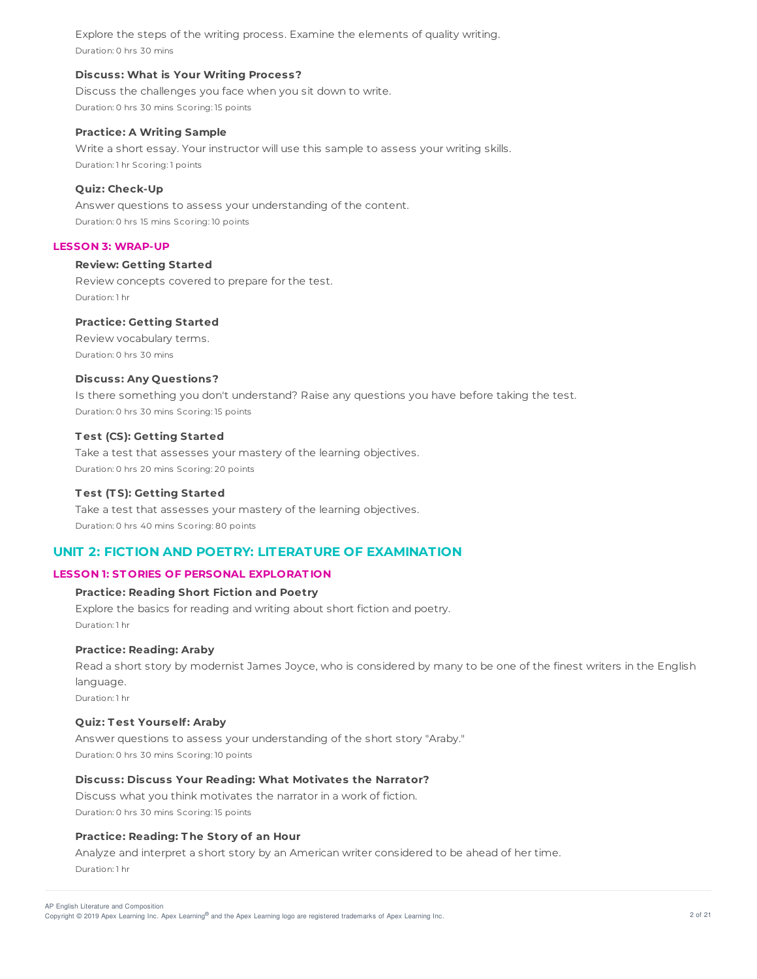Explore the steps of the writing process. Examine the elements of quality writing. Duration: 0 hrs 30 mins

#### **Discuss: What is Your Writing Process?**

Discuss the challenges you face when you sit down to write. Duration: 0 hrs 30 mins Scoring: 15 points

## **Practice: A Writing Sample**

Write a short essay. Your instructor will use this sample to assess your writing skills. Duration: 1 hr Scoring: 1 points

## **Quiz: Check-Up**

Answer questions to assess your understanding of the content. Duration: 0 hrs 15 mins Scoring: 10 points

# **LESSON 3: WRAP-UP**

# **Review: Getting Started**

Review concepts covered to prepare for the test. Duration: 1 hr

## **Practice: Getting Started**

Review vocabulary terms. Duration: 0 hrs 30 mins

## **Discuss: Any Questions?**

Is there something you don't understand? Raise any questions you have before taking the test. Duration: 0 hrs 30 mins Scoring: 15 points

## **T est (CS): Getting Started**

Take a test that assesses your mastery of the learning objectives. Duration: 0 hrs 20 mins Scoring: 20 points

# **T est (T S): Getting Started**

Take a test that assesses your mastery of the learning objectives. Duration: 0 hrs 40 mins Scoring: 80 points

# **UNIT 2: FICTION AND POETRY: LITERATURE OF EXAMINATION**

# **LESSON 1: ST ORIES OF PERSONAL EXPLORAT ION**

# **Practice: Reading Short Fiction and Poetry**

Explore the basics for reading and writing about short fiction and poetry. Duration: 1 hr

#### **Practice: Reading: Araby**

Read a short story by modernist James Joyce, who is considered by many to be one of the finest writers in the English language.

Duration: 1 hr

## **Quiz: T est Yourself: Araby**

Answer questions to assess your understanding of the short story "Araby." Duration: 0 hrs 30 mins Scoring: 10 points

#### **Discuss: Discuss Your Reading: What Motivates the Narrator?**

Discuss what you think motivates the narrator in a work of fiction. Duration: 0 hrs 30 mins Scoring: 15 points

# **Practice: Reading: T he Story of an Hour**

Analyze and interpret a short story by an American writer considered to be ahead of her time. Duration: 1 hr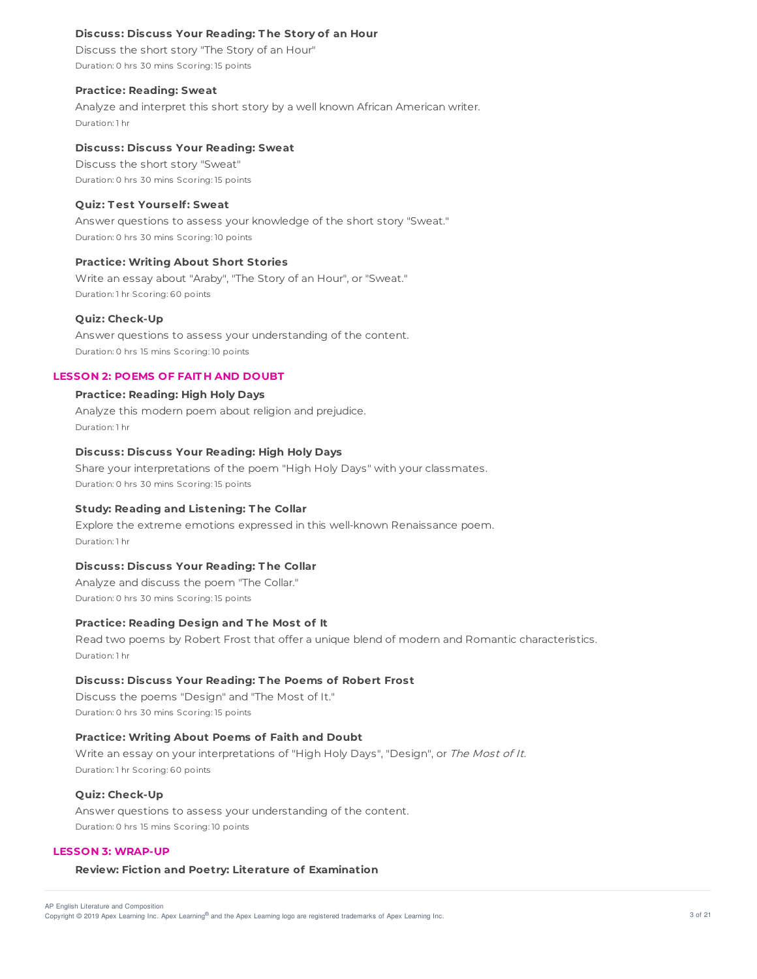## **Discuss: Discuss Your Reading: T he Story of an Hour**

Discuss the short story "The Story of an Hour" Duration: 0 hrs 30 mins Scoring: 15 points

#### **Practice: Reading: Sweat**

Analyze and interpret this short story by a well known African American writer. Duration: 1 hr

## **Discuss: Discuss Your Reading: Sweat**

Discuss the short story "Sweat" Duration: 0 hrs 30 mins Scoring: 15 points

#### **Quiz: T est Yourself: Sweat**

Answer questions to assess your knowledge of the short story "Sweat." Duration: 0 hrs 30 mins Scoring: 10 points

#### **Practice: Writing About Short Stories**

Write an essay about "Araby", "The Story of an Hour", or "Sweat." Duration: 1 hr Scoring: 60 points

#### **Quiz: Check-Up**

Answer questions to assess your understanding of the content. Duration: 0 hrs 15 mins Scoring: 10 points

# **LESSON 2: POEMS OF FAIT H AND DOUBT**

## **Practice: Reading: High Holy Days**

Analyze this modern poem about religion and prejudice. Duration: 1 hr

# **Discuss: Discuss Your Reading: High Holy Days**

Share your interpretations of the poem "High Holy Days" with your classmates. Duration: 0 hrs 30 mins Scoring: 15 points

## **Study: Reading and Listening: T he Collar**

Explore the extreme emotions expressed in this well-known Renaissance poem. Duration: 1 hr

#### **Discuss: Discuss Your Reading: T he Collar**

Analyze and discuss the poem "The Collar." Duration: 0 hrs 30 mins Scoring: 15 points

#### **Practice: Reading Design and T he Most of It**

Read two poems by Robert Frost that offer a unique blend of modern and Romantic characteristics. Duration: 1 hr

## **Discuss: Discuss Your Reading: T he Poems of Robert Frost**

Discuss the poems "Design" and "The Most of It." Duration: 0 hrs 30 mins Scoring: 15 points

#### **Practice: Writing About Poems of Faith and Doubt**

Write an essay on your interpretations of "High Holy Days", "Design", or The Most of It. Duration: 1 hr Scoring: 60 points

## **Quiz: Check-Up**

Answer questions to assess your understanding of the content. Duration: 0 hrs 15 mins Scoring: 10 points

#### **LESSON 3: WRAP-UP**

## **Review: Fiction and Poetry: Literature of Examination**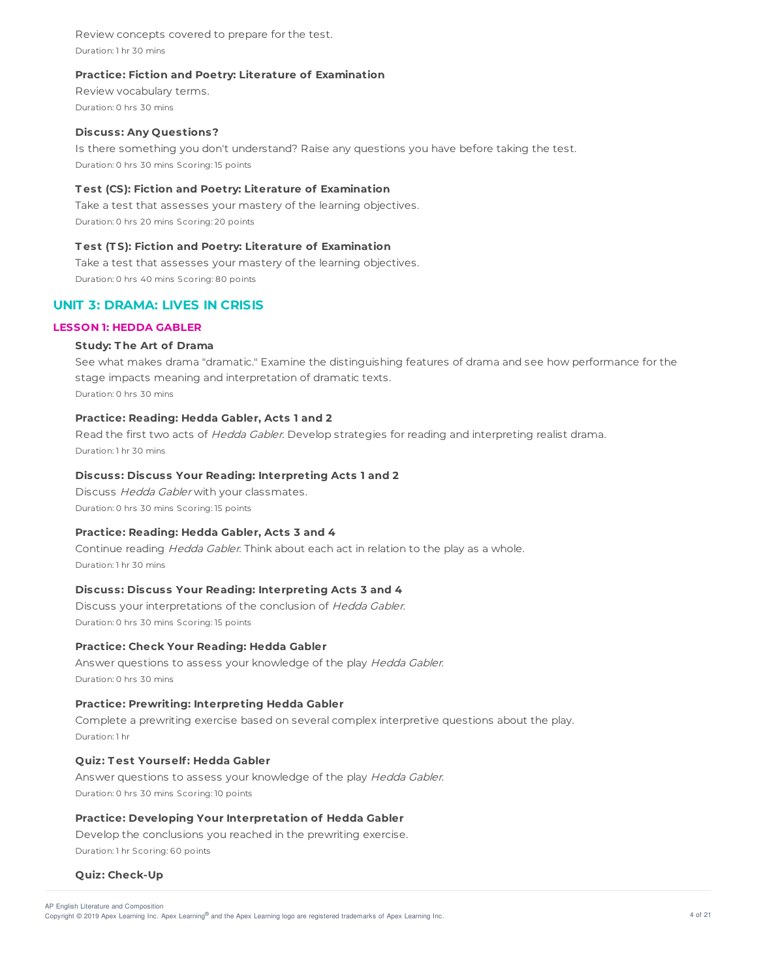Review concepts covered to prepare for the test. Duration: 1 hr 30 mins

## **Practice: Fiction and Poetry: Literature of Examination**

Review vocabulary terms. Duration: 0 hrs 30 mins

## **Discuss: Any Questions?**

Is there something you don't understand? Raise any questions you have before taking the test. Duration: 0 hrs 30 mins Scoring: 15 points

## **T est (CS): Fiction and Poetry: Literature of Examination**

Take a test that assesses your mastery of the learning objectives. Duration: 0 hrs 20 mins Scoring: 20 points

# **T est (T S): Fiction and Poetry: Literature of Examination**

Take a test that assesses your mastery of the learning objectives. Duration: 0 hrs 40 mins Scoring: 80 points

# **UNIT 3: DRAMA: LIVES IN CRISIS**

# **LESSON 1: HEDDA GABLER**

## **Study: T he Art of Drama**

See what makes drama "dramatic." Examine the distinguishing features of drama and see how performance for the stage impacts meaning and interpretation of dramatic texts. Duration: 0 hrs 30 mins

# **Practice: Reading: Hedda Gabler, Acts 1 and 2**

Read the first two acts of Hedda Gabler. Develop strategies for reading and interpreting realist drama. Duration: 1 hr 30 mins

## **Discuss: Discuss Your Reading: Interpreting Acts 1 and 2**

Discuss Hedda Gabler with your classmates. Duration: 0 hrs 30 mins Scoring: 15 points

#### **Practice: Reading: Hedda Gabler, Acts 3 and 4**

Continue reading Hedda Gabler. Think about each act in relation to the play as a whole. Duration: 1 hr 30 mins

# **Discuss: Discuss Your Reading: Interpreting Acts 3 and 4**

Discuss your interpretations of the conclusion of Hedda Gabler. Duration: 0 hrs 30 mins Scoring: 15 points

#### **Practice: Check Your Reading: Hedda Gabler**

Answer questions to assess your knowledge of the play Hedda Gabler. Duration: 0 hrs 30 mins

## **Practice: Prewriting: Interpreting Hedda Gabler**

Complete a prewriting exercise based on several complex interpretive questions about the play. Duration: 1 hr

## **Quiz: T est Yourself: Hedda Gabler**

Answer questions to assess your knowledge of the play Hedda Gabler. Duration: 0 hrs 30 mins Scoring: 10 points

#### **Practice: Developing Your Interpretation of Hedda Gabler**

Develop the conclusions you reached in the prewriting exercise. Duration: 1 hr Scoring: 60 points

## **Quiz: Check-Up**

Copyright © 2019 Apex Learning Inc. Apex Learning® and the Apex Learning logo are registered trademarks of Apex Learning Inc. 4 of 21 and the Apex Learning Inc. AP English Literature and Composition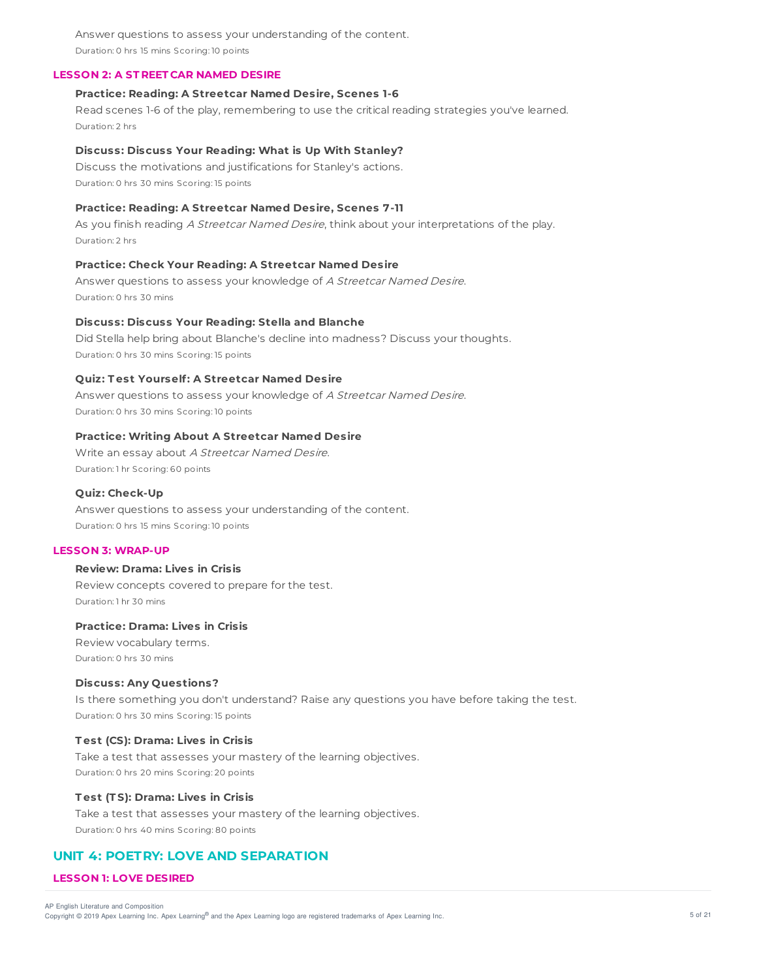Answer questions to assess your understanding of the content. Duration: 0 hrs 15 mins Scoring: 10 points

## **LESSON 2: A ST REET CAR NAMED DESIRE**

## **Practice: Reading: A Streetcar Named Desire, Scenes 1-6**

Read scenes 1-6 of the play, remembering to use the critical reading strategies you've learned. Duration: 2 hrs

#### **Discuss: Discuss Your Reading: What is Up With Stanley?**

Discuss the motivations and justifications for Stanley's actions. Duration: 0 hrs 30 mins Scoring: 15 points

#### **Practice: Reading: A Streetcar Named Desire, Scenes 7-11**

As you finish reading A Streetcar Named Desire, think about your interpretations of the play. Duration: 2 hrs

## **Practice: Check Your Reading: A Streetcar Named Desire**

Answer questions to assess your knowledge of A Streetcar Named Desire. Duration: 0 hrs 30 mins

#### **Discuss: Discuss Your Reading: Stella and Blanche**

Did Stella help bring about Blanche's decline into madness? Discuss your thoughts. Duration: 0 hrs 30 mins Scoring: 15 points

# **Quiz: T est Yourself: A Streetcar Named Desire**

Answer questions to assess your knowledge of A Streetcar Named Desire. Duration: 0 hrs 30 mins Scoring: 10 points

#### **Practice: Writing About A Streetcar Named Desire**

Write an essay about A Streetcar Named Desire. Duration: 1 hr Scoring: 60 points

#### **Quiz: Check-Up**

Answer questions to assess your understanding of the content. Duration: 0 hrs 15 mins Scoring: 10 points

# **LESSON 3: WRAP-UP**

### **Review: Drama: Lives in Crisis**

Review concepts covered to prepare for the test. Duration: 1 hr 30 mins

#### **Practice: Drama: Lives in Crisis**

Review vocabulary terms. Duration: 0 hrs 30 mins

#### **Discuss: Any Questions?**

Is there something you don't understand? Raise any questions you have before taking the test. Duration: 0 hrs 30 mins Scoring: 15 points

## **T est (CS): Drama: Lives in Crisis**

Take a test that assesses your mastery of the learning objectives. Duration: 0 hrs 20 mins Scoring: 20 points

### **T est (T S): Drama: Lives in Crisis**

Take a test that assesses your mastery of the learning objectives. Duration: 0 hrs 40 mins Scoring: 80 points

# **UNIT 4: POETRY: LOVE AND SEPARATION**

#### **LESSON 1: LOVE DESIRED**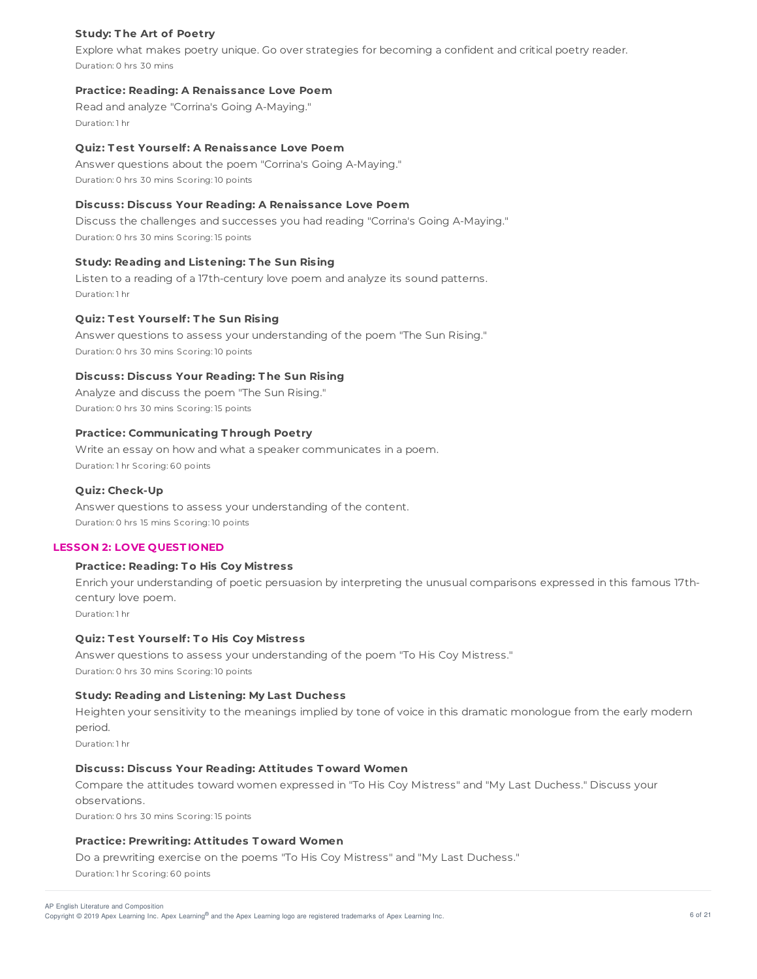## **Study: T he Art of Poetry**

Explore what makes poetry unique. Go over strategies for becoming a confident and critical poetry reader. Duration: 0 hrs 30 mins

### **Practice: Reading: A Renaissance Love Poem**

Read and analyze "Corrina's Going A-Maying." Duration: 1 hr

## **Quiz: T est Yourself: A Renaissance Love Poem**

Answer questions about the poem "Corrina's Going A-Maying." Duration: 0 hrs 30 mins Scoring: 10 points

## **Discuss: Discuss Your Reading: A Renaissance Love Poem**

Discuss the challenges and successes you had reading "Corrina's Going A-Maying." Duration: 0 hrs 30 mins Scoring: 15 points

# **Study: Reading and Listening: T he Sun Rising**

Listen to a reading of a 17th-century love poem and analyze its sound patterns. Duration: 1 hr

#### **Quiz: T est Yourself: T he Sun Rising**

Answer questions to assess your understanding of the poem "The Sun Rising." Duration: 0 hrs 30 mins Scoring: 10 points

## **Discuss: Discuss Your Reading: T he Sun Rising**

Analyze and discuss the poem "The Sun Rising." Duration: 0 hrs 30 mins Scoring: 15 points

# **Practice: Communicating T hrough Poetry**

Write an essay on how and what a speaker communicates in a poem. Duration: 1 hr Scoring: 60 points

## **Quiz: Check-Up**

Answer questions to assess your understanding of the content. Duration: 0 hrs 15 mins Scoring: 10 points

#### **LESSON 2: LOVE QUEST IONED**

## **Practice: Reading: T o His Coy Mistress**

Enrich your understanding of poetic persuasion by interpreting the unusual comparisons expressed in this famous 17thcentury love poem.

Duration: 1 hr

## **Quiz: T est Yourself: T o His Coy Mistress**

Answer questions to assess your understanding of the poem "To His Coy Mistress." Duration: 0 hrs 30 mins Scoring: 10 points

# **Study: Reading and Listening: My Last Duchess**

Heighten your sensitivity to the meanings implied by tone of voice in this dramatic monologue from the early modern period.

Duration: 1 hr

## **Discuss: Discuss Your Reading: Attitudes T oward Women**

Compare the attitudes toward women expressed in "To His Coy Mistress" and "My Last Duchess." Discuss your observations.

Duration: 0 hrs 30 mins Scoring: 15 points

#### **Practice: Prewriting: Attitudes T oward Women**

Do a prewriting exercise on the poems "To His Coy Mistress" and "My Last Duchess."

Duration: 1 hr Scoring: 60 points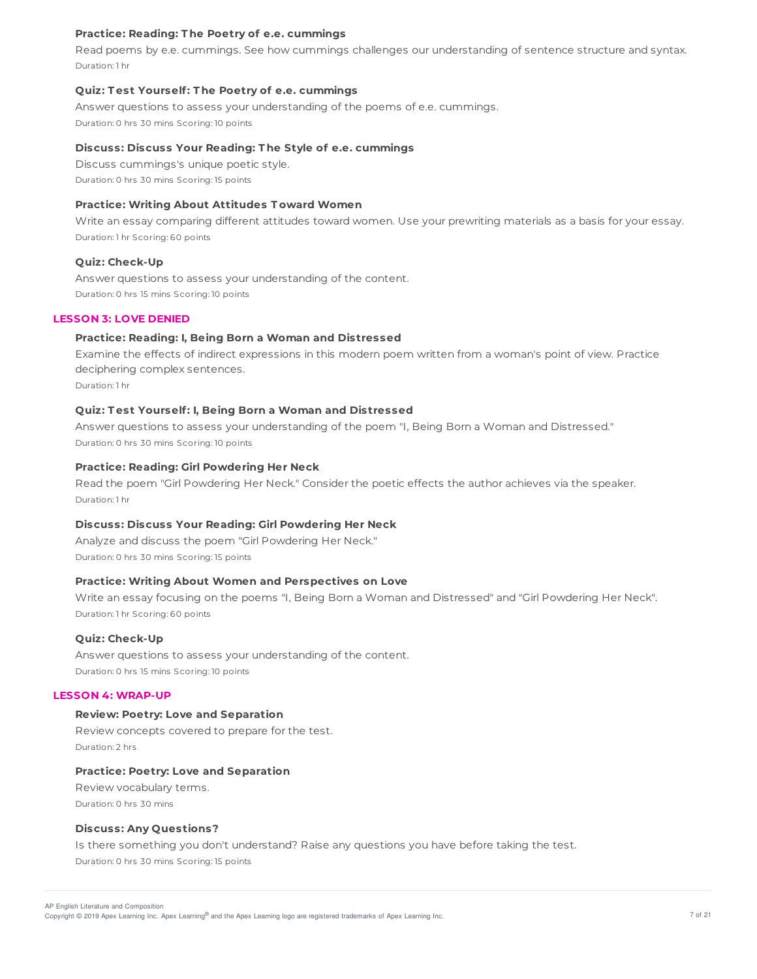### **Practice: Reading: T he Poetry of e.e. cummings**

Read poems by e.e. cummings. See how cummings challenges our understanding of sentence structure and syntax. Duration: 1 hr

#### **Quiz: T est Yourself: T he Poetry of e.e. cummings**

Answer questions to assess your understanding of the poems of e.e. cummings. Duration: 0 hrs 30 mins Scoring: 10 points

### **Discuss: Discuss Your Reading: T he Style of e.e. cummings**

Discuss cummings's unique poetic style. Duration: 0 hrs 30 mins Scoring: 15 points

## **Practice: Writing About Attitudes T oward Women**

Write an essay comparing different attitudes toward women. Use your prewriting materials as a basis for your essay. Duration: 1 hr Scoring: 60 points

#### **Quiz: Check-Up**

Answer questions to assess your understanding of the content. Duration: 0 hrs 15 mins Scoring: 10 points

#### **LESSON 3: LOVE DENIED**

## **Practice: Reading: I, Being Born a Woman and Distressed**

Examine the effects of indirect expressions in this modern poem written from a woman's point of view. Practice deciphering complex sentences.

Duration: 1 hr

#### **Quiz: T est Yourself: I, Being Born a Woman and Distressed**

Answer questions to assess your understanding of the poem "I, Being Born a Woman and Distressed." Duration: 0 hrs 30 mins Scoring: 10 points

## **Practice: Reading: Girl Powdering Her Neck**

Read the poem "Girl Powdering Her Neck." Consider the poetic effects the author achieves via the speaker. Duration: 1 hr

## **Discuss: Discuss Your Reading: Girl Powdering Her Neck**

Analyze and discuss the poem "Girl Powdering Her Neck." Duration: 0 hrs 30 mins Scoring: 15 points

### **Practice: Writing About Women and Perspectives on Love**

Write an essay focusing on the poems "I, Being Born a Woman and Distressed" and "Girl Powdering Her Neck". Duration: 1 hr Scoring: 60 points

#### **Quiz: Check-Up**

Answer questions to assess your understanding of the content. Duration: 0 hrs 15 mins Scoring: 10 points

#### **LESSON 4: WRAP-UP**

## **Review: Poetry: Love and Separation**

Review concepts covered to prepare for the test. Duration: 2 hrs

#### **Practice: Poetry: Love and Separation**

Review vocabulary terms. Duration: 0 hrs 30 mins

### **Discuss: Any Questions?**

Is there something you don't understand? Raise any questions you have before taking the test. Duration: 0 hrs 30 mins Scoring: 15 points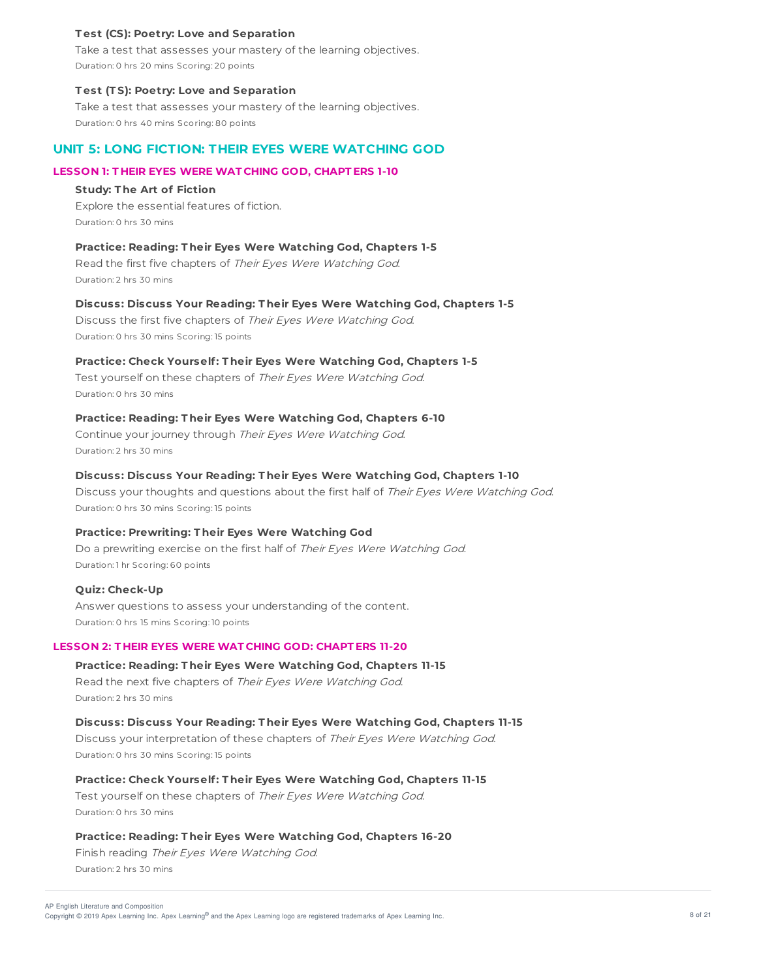#### **T est (CS): Poetry: Love and Separation**

Take a test that assesses your mastery of the learning objectives. Duration: 0 hrs 20 mins Scoring: 20 points

#### **T est (T S): Poetry: Love and Separation**

Take a test that assesses your mastery of the learning objectives. Duration: 0 hrs 40 mins Scoring: 80 points

# **UNIT 5: LONG FICTION: THEIR EYES WERE WATCHING GOD**

# **LESSON 1: T HEIR EYES WERE WAT CHING GOD, CHAPT ERS 1-10**

#### **Study: T he Art of Fiction**

Explore the essential features of fiction. Duration: 0 hrs 30 mins

## **Practice: Reading: T heir Eyes Were Watching God, Chapters 1-5**

Read the first five chapters of Their Eyes Were Watching God. Duration: 2 hrs 30 mins

## **Discuss: Discuss Your Reading: T heir Eyes Were Watching God, Chapters 1-5**

Discuss the first five chapters of Their Eyes Were Watching God. Duration: 0 hrs 30 mins Scoring: 15 points

## **Practice: Check Yourself: T heir Eyes Were Watching God, Chapters 1-5**

Test yourself on these chapters of Their Eyes Were Watching God. Duration: 0 hrs 30 mins

## **Practice: Reading: T heir Eyes Were Watching God, Chapters 6-10**

Continue your journey through Their Eyes Were Watching God. Duration: 2 hrs 30 mins

## **Discuss: Discuss Your Reading: T heir Eyes Were Watching God, Chapters 1-10**

Discuss your thoughts and questions about the first half of Their Eyes Were Watching God. Duration: 0 hrs 30 mins Scoring: 15 points

#### **Practice: Prewriting: T heir Eyes Were Watching God**

Do a prewriting exercise on the first half of Their Eyes Were Watching God. Duration: 1 hr Scoring: 60 points

#### **Quiz: Check-Up**

Answer questions to assess your understanding of the content. Duration: 0 hrs 15 mins Scoring: 10 points

## **LESSON 2: T HEIR EYES WERE WAT CHING GOD: CHAPT ERS 11-20**

**Practice: Reading: T heir Eyes Were Watching God, Chapters 11-15**

Read the next five chapters of Their Eyes Were Watching God. Duration: 2 hrs 30 mins

## **Discuss: Discuss Your Reading: T heir Eyes Were Watching God, Chapters 11-15**

Discuss your interpretation of these chapters of Their Eyes Were Watching God. Duration: 0 hrs 30 mins Scoring: 15 points

#### **Practice: Check Yourself: T heir Eyes Were Watching God, Chapters 11-15**

Test yourself on these chapters of Their Eyes Were Watching God. Duration: 0 hrs 30 mins

#### **Practice: Reading: T heir Eyes Were Watching God, Chapters 16-20**

Finish reading Their Eyes Were Watching God. Duration: 2 hrs 30 mins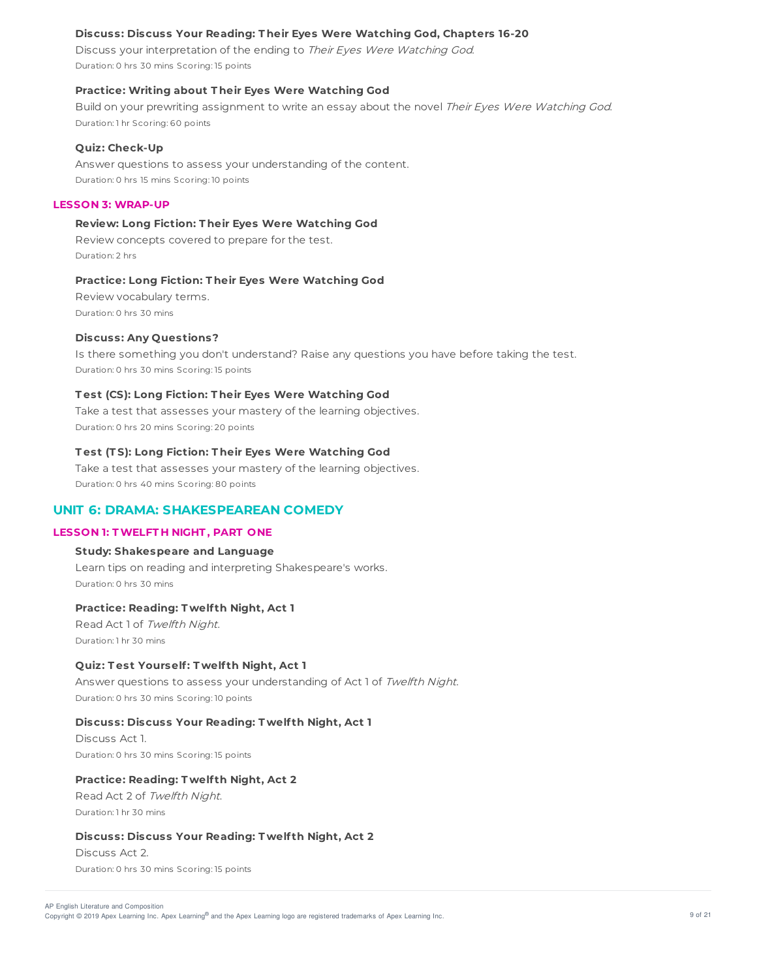# **Discuss: Discuss Your Reading: T heir Eyes Were Watching God, Chapters 16-20**

Discuss your interpretation of the ending to Their Eyes Were Watching God. Duration: 0 hrs 30 mins Scoring: 15 points

#### **Practice: Writing about T heir Eyes Were Watching God**

Build on your prewriting assignment to write an essay about the novel Their Eyes Were Watching God. Duration: 1 hr Scoring: 60 points

# **Quiz: Check-Up**

Answer questions to assess your understanding of the content. Duration: 0 hrs 15 mins Scoring: 10 points

## **LESSON 3: WRAP-UP**

# **Review: Long Fiction: T heir Eyes Were Watching God**

Review concepts covered to prepare for the test. Duration: 2 hrs

#### **Practice: Long Fiction: T heir Eyes Were Watching God**

Review vocabulary terms. Duration: 0 hrs 30 mins

#### **Discuss: Any Questions?**

Is there something you don't understand? Raise any questions you have before taking the test. Duration: 0 hrs 30 mins Scoring: 15 points

## **T est (CS): Long Fiction: T heir Eyes Were Watching God**

Take a test that assesses your mastery of the learning objectives. Duration: 0 hrs 20 mins Scoring: 20 points

## **T est (T S): Long Fiction: T heir Eyes Were Watching God**

Take a test that assesses your mastery of the learning objectives. Duration: 0 hrs 40 mins Scoring: 80 points

# **UNIT 6: DRAMA: SHAKESPEAREAN COMEDY**

#### **LESSON 1: TWELFT H NIGHT , PART ONE**

## **Study: Shakespeare and Language**

Learn tips on reading and interpreting Shakespeare's works. Duration: 0 hrs 30 mins

#### **Practice: Reading: T welf th Night, Act 1**

Read Act 1 of Twelfth Night. Duration: 1 hr 30 mins

## **Quiz: T est Yourself: T welf th Night, Act 1**

Answer questions to assess your understanding of Act 1 of Twelfth Night. Duration: 0 hrs 30 mins Scoring: 10 points

## **Discuss: Discuss Your Reading: T welf th Night, Act 1**

Discuss Act 1. Duration: 0 hrs 30 mins Scoring: 15 points

#### **Practice: Reading: T welf th Night, Act 2**

Read Act 2 of Twelfth Night. Duration: 1 hr 30 mins

## **Discuss: Discuss Your Reading: T welf th Night, Act 2**

Discuss Act 2. Duration: 0 hrs 30 mins Scoring: 15 points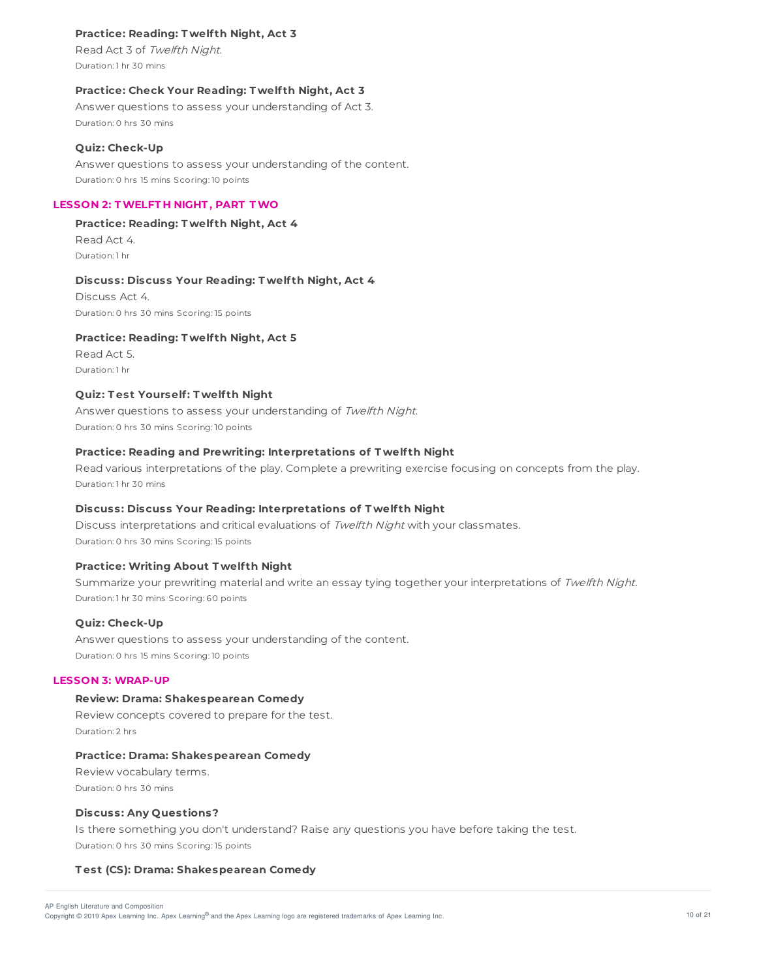# **Practice: Reading: T welf th Night, Act 3**

Read Act 3 of Twelfth Night. Duration: 1 hr 30 mins

## **Practice: Check Your Reading: T welf th Night, Act 3**

Answer questions to assess your understanding of Act 3. Duration: 0 hrs 30 mins

#### **Quiz: Check-Up**

Answer questions to assess your understanding of the content. Duration: 0 hrs 15 mins Scoring: 10 points

## **LESSON 2: TWELFT H NIGHT , PART TWO**

**Practice: Reading: T welf th Night, Act 4** Read Act 4. Duration: 1 hr

#### **Discuss: Discuss Your Reading: T welf th Night, Act 4**

Discuss Act 4. Duration: 0 hrs 30 mins Scoring: 15 points

## **Practice: Reading: T welf th Night, Act 5**

Read Act 5. Duration: 1 hr

## **Quiz: T est Yourself: T welf th Night**

Answer questions to assess your understanding of Twelfth Night. Duration: 0 hrs 30 mins Scoring: 10 points

## **Practice: Reading and Prewriting: Interpretations of T welf th Night**

Read various interpretations of the play. Complete a prewriting exercise focusing on concepts from the play. Duration: 1 hr 30 mins

## **Discuss: Discuss Your Reading: Interpretations of T welf th Night**

Discuss interpretations and critical evaluations of Twelfth Night with your classmates. Duration: 0 hrs 30 mins Scoring: 15 points

#### **Practice: Writing About T welf th Night**

Summarize your prewriting material and write an essay tying together your interpretations of Twelfth Night. Duration: 1 hr 30 mins Scoring: 60 points

#### **Quiz: Check-Up**

Answer questions to assess your understanding of the content. Duration: 0 hrs 15 mins Scoring: 10 points

## **LESSON 3: WRAP-UP**

## **Review: Drama: Shakespearean Comedy**

Review concepts covered to prepare for the test. Duration: 2 hrs

#### **Practice: Drama: Shakespearean Comedy**

Review vocabulary terms. Duration: 0 hrs 30 mins

#### **Discuss: Any Questions?**

Is there something you don't understand? Raise any questions you have before taking the test. Duration: 0 hrs 30 mins Scoring: 15 points

#### **T est (CS): Drama: Shakespearean Comedy**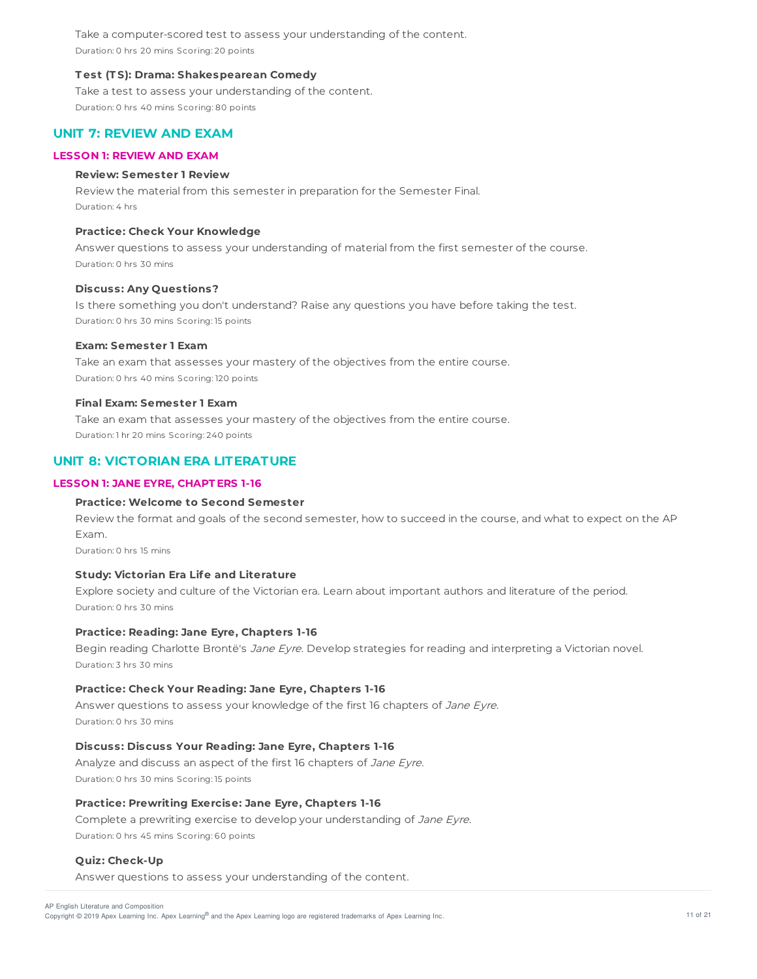Take a computer-scored test to assess your understanding of the content. Duration: 0 hrs 20 mins Scoring: 20 points

### **T est (T S): Drama: Shakespearean Comedy**

Take a test to assess your understanding of the content. Duration: 0 hrs 40 mins Scoring: 80 points

# **UNIT 7: REVIEW AND EXAM**

## **LESSON 1: REVIEW AND EXAM**

## **Review: Semester 1 Review**

Review the material from this semester in preparation for the Semester Final. Duration: 4 hrs

## **Practice: Check Your Knowledge**

Answer questions to assess your understanding of material from the first semester of the course. Duration: 0 hrs 30 mins

## **Discuss: Any Questions?**

Is there something you don't understand? Raise any questions you have before taking the test. Duration: 0 hrs 30 mins Scoring: 15 points

### **Exam: Semester 1 Exam**

Take an exam that assesses your mastery of the objectives from the entire course. Duration: 0 hrs 40 mins Scoring: 120 points

#### **Final Exam: Semester 1 Exam**

Take an exam that assesses your mastery of the objectives from the entire course. Duration: 1 hr 20 mins Scoring: 240 points

# **UNIT 8: VICTORIAN ERA LITERATURE**

# **LESSON 1: JANE EYRE, CHAPT ERS 1-16**

#### **Practice: Welcome to Second Semester**

Review the format and goals of the second semester, how to succeed in the course, and what to expect on the AP Exam.

Duration: 0 hrs 15 mins

# **Study: Victorian Era Life and Literature**

Explore society and culture of the Victorian era. Learn about important authors and literature of the period. Duration: 0 hrs 30 mins

## **Practice: Reading: Jane Eyre, Chapters 1-16**

Begin reading Charlotte Brontë's Jane Eyre. Develop strategies for reading and interpreting a Victorian novel. Duration: 3 hrs 30 mins

#### **Practice: Check Your Reading: Jane Eyre, Chapters 1-16**

Answer questions to assess your knowledge of the first 16 chapters of Jane Eyre. Duration: 0 hrs 30 mins

## **Discuss: Discuss Your Reading: Jane Eyre, Chapters 1-16**

Analyze and discuss an aspect of the first 16 chapters of Jane Eyre. Duration: 0 hrs 30 mins Scoring: 15 points

# **Practice: Prewriting Exercise: Jane Eyre, Chapters 1-16**

Complete a prewriting exercise to develop your understanding of Jane Eyre. Duration: 0 hrs 45 mins Scoring: 60 points

## **Quiz: Check-Up**

Answer questions to assess your understanding of the content.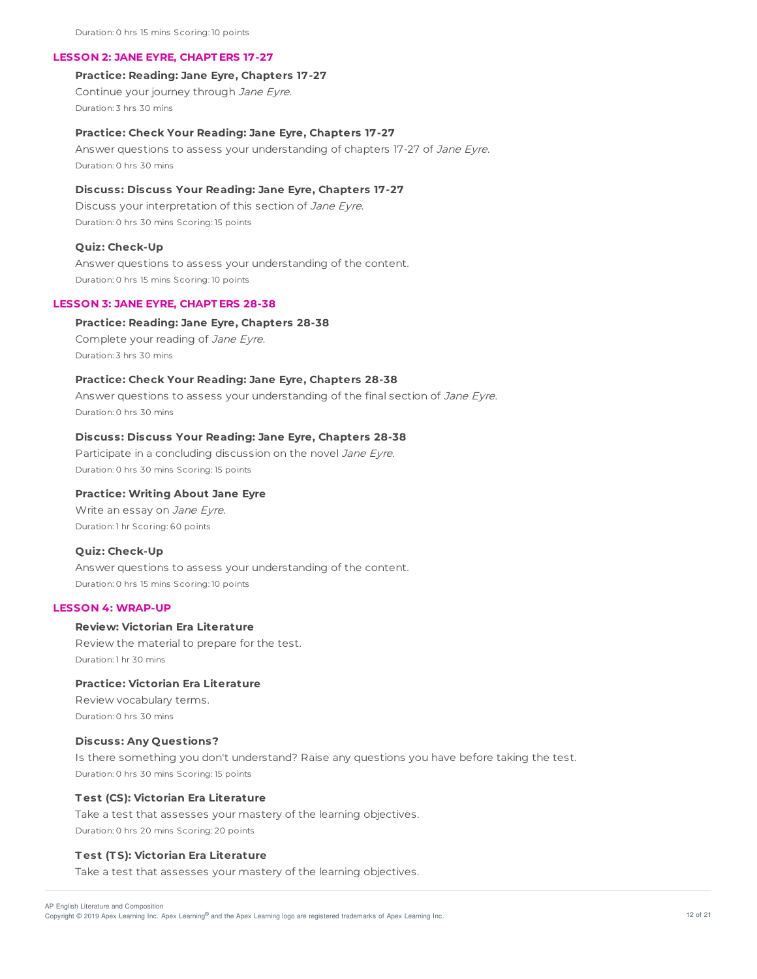#### **LESSON 2: JANE EYRE, CHAPT ERS 17-27**

## **Practice: Reading: Jane Eyre, Chapters 17-27**

Continue your journey through Jane Eyre. Duration: 3 hrs 30 mins

#### **Practice: Check Your Reading: Jane Eyre, Chapters 17-27**

Answer questions to assess your understanding of chapters 17-27 of Jane Eyre. Duration: 0 hrs 30 mins

### **Discuss: Discuss Your Reading: Jane Eyre, Chapters 17-27**

Discuss your interpretation of this section of Jane Eyre. Duration: 0 hrs 30 mins Scoring: 15 points

#### **Quiz: Check-Up**

Answer questions to assess your understanding of the content. Duration: 0 hrs 15 mins Scoring: 10 points

#### **LESSON 3: JANE EYRE, CHAPT ERS 28-38**

#### **Practice: Reading: Jane Eyre, Chapters 28-38**

Complete your reading of Jane Eyre. Duration: 3 hrs 30 mins

# **Practice: Check Your Reading: Jane Eyre, Chapters 28-38**

Answer questions to assess your understanding of the final section of Jane Eyre. Duration: 0 hrs 30 mins

### **Discuss: Discuss Your Reading: Jane Eyre, Chapters 28-38**

Participate in a concluding discussion on the novel Jane Eyre. Duration: 0 hrs 30 mins Scoring: 15 points

## **Practice: Writing About Jane Eyre**

Write an essay on Jane Eyre. Duration: 1 hr Scoring: 60 points

### **Quiz: Check-Up**

Answer questions to assess your understanding of the content. Duration: 0 hrs 15 mins Scoring: 10 points

#### **LESSON 4: WRAP-UP**

## **Review: Victorian Era Literature**

Review the material to prepare for the test. Duration: 1 hr 30 mins

# **Practice: Victorian Era Literature**

Review vocabulary terms. Duration: 0 hrs 30 mins

## **Discuss: Any Questions?**

Is there something you don't understand? Raise any questions you have before taking the test. Duration: 0 hrs 30 mins Scoring: 15 points

#### **T est (CS): Victorian Era Literature**

Take a test that assesses your mastery of the learning objectives. Duration: 0 hrs 20 mins Scoring: 20 points

#### **T est (T S): Victorian Era Literature**

Take a test that assesses your mastery of the learning objectives.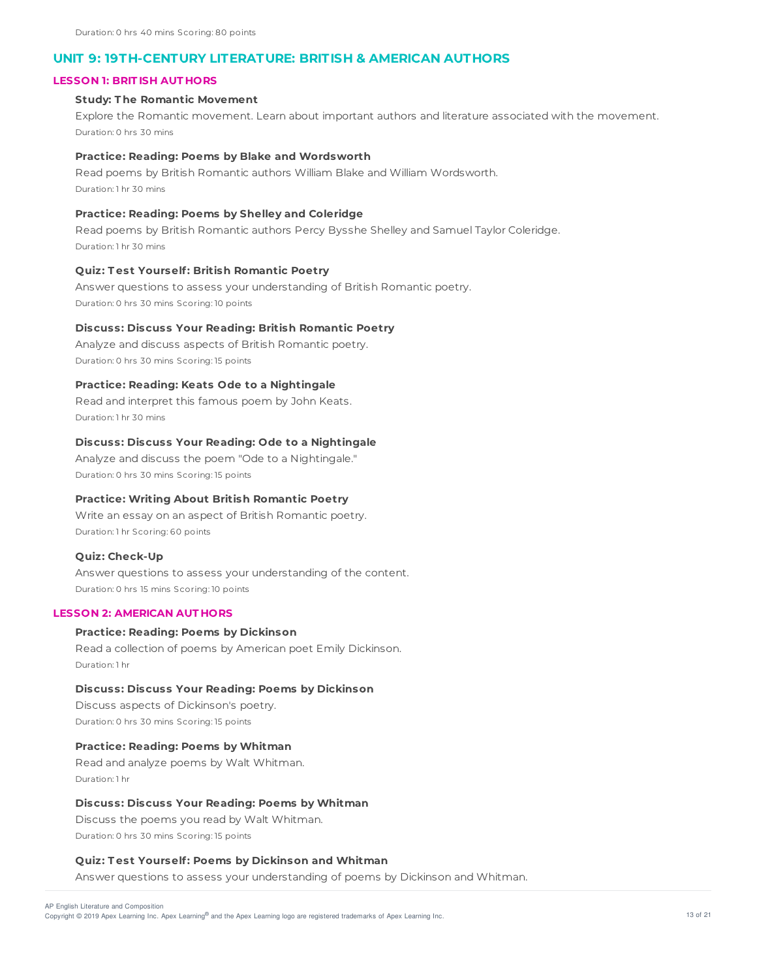# **UNIT 9: 19TH-CENTURY LITERATURE: BRITISH & AMERICAN AUTHORS**

## **LESSON 1: BRIT ISH AUT HORS**

# **Study: T he Romantic Movement**

Explore the Romantic movement. Learn about important authors and literature associated with the movement. Duration: 0 hrs 30 mins

#### **Practice: Reading: Poems by Blake and Wordsworth**

Read poems by British Romantic authors William Blake and William Wordsworth. Duration: 1 hr 30 mins

## **Practice: Reading: Poems by Shelley and Coleridge**

Read poems by British Romantic authors Percy Bysshe Shelley and Samuel Taylor Coleridge. Duration: 1 hr 30 mins

# **Quiz: T est Yourself: British Romantic Poetry**

Answer questions to assess your understanding of British Romantic poetry. Duration: 0 hrs 30 mins Scoring: 10 points

## **Discuss: Discuss Your Reading: British Romantic Poetry**

Analyze and discuss aspects of British Romantic poetry. Duration: 0 hrs 30 mins Scoring: 15 points

#### **Practice: Reading: Keats Ode to a Nightingale**

Read and interpret this famous poem by John Keats. Duration: 1 hr 30 mins

#### **Discuss: Discuss Your Reading: Ode to a Nightingale**

Analyze and discuss the poem "Ode to a Nightingale." Duration: 0 hrs 30 mins Scoring: 15 points

## **Practice: Writing About British Romantic Poetry**

Write an essay on an aspect of British Romantic poetry. Duration: 1 hr Scoring: 60 points

## **Quiz: Check-Up**

Answer questions to assess your understanding of the content. Duration: 0 hrs 15 mins Scoring: 10 points

### **LESSON 2: AMERICAN AUT HORS**

## **Practice: Reading: Poems by Dickinson**

Read a collection of poems by American poet Emily Dickinson. Duration: 1 hr

#### **Discuss: Discuss Your Reading: Poems by Dickinson**

Discuss aspects of Dickinson's poetry. Duration: 0 hrs 30 mins Scoring: 15 points

## **Practice: Reading: Poems by Whitman**

Read and analyze poems by Walt Whitman. Duration: 1 hr

## **Discuss: Discuss Your Reading: Poems by Whitman**

Discuss the poems you read by Walt Whitman. Duration: 0 hrs 30 mins Scoring: 15 points

#### **Quiz: T est Yourself: Poems by Dickinson and Whitman**

Answer questions to assess your understanding of poems by Dickinson and Whitman.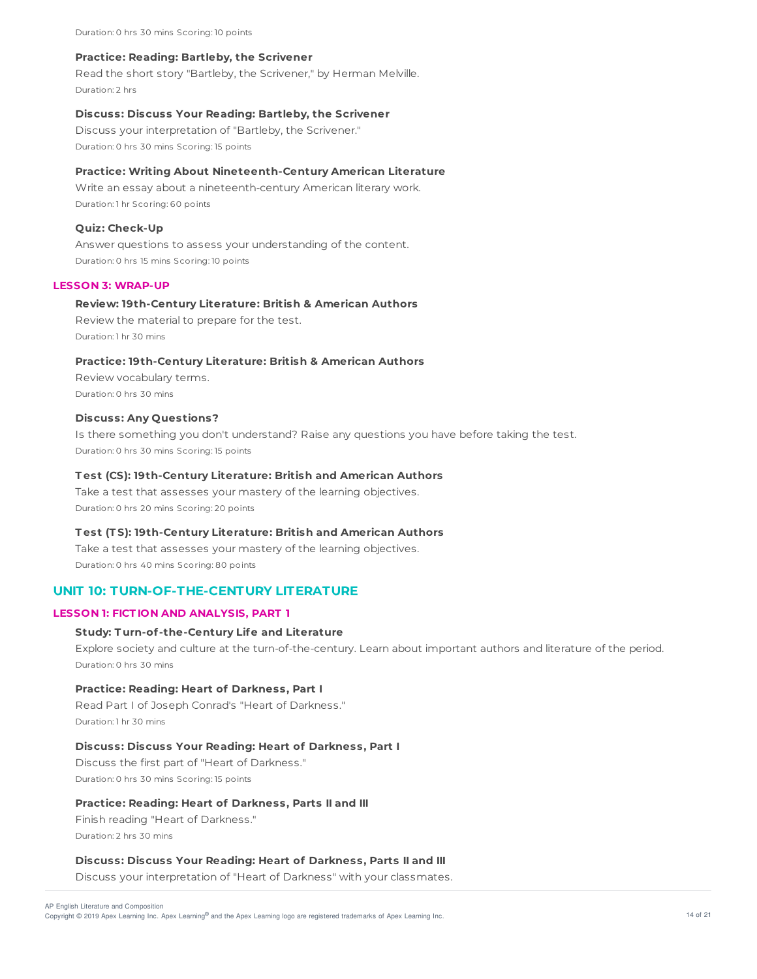Duration: 0 hrs 30 mins Scoring: 10 points

#### **Practice: Reading: Bartleby, the Scrivener**

Read the short story "Bartleby, the Scrivener," by Herman Melville. Duration: 2 hrs

#### **Discuss: Discuss Your Reading: Bartleby, the Scrivener**

Discuss your interpretation of "Bartleby, the Scrivener." Duration: 0 hrs 30 mins Scoring: 15 points

## **Practice: Writing About Nineteenth-Century American Literature**

Write an essay about a nineteenth-century American literary work. Duration: 1 hr Scoring: 60 points

#### **Quiz: Check-Up**

Answer questions to assess your understanding of the content. Duration: 0 hrs 15 mins Scoring: 10 points

# **LESSON 3: WRAP-UP**

#### **Review: 19th-Century Literature: British & American Authors**

Review the material to prepare for the test. Duration: 1 hr 30 mins

## **Practice: 19th-Century Literature: British & American Authors**

Review vocabulary terms. Duration: 0 hrs 30 mins

#### **Discuss: Any Questions?**

Is there something you don't understand? Raise any questions you have before taking the test. Duration: 0 hrs 30 mins Scoring: 15 points

### **T est (CS): 19th-Century Literature: British and American Authors**

Take a test that assesses your mastery of the learning objectives. Duration: 0 hrs 20 mins Scoring: 20 points

## **T est (T S): 19th-Century Literature: British and American Authors**

Take a test that assesses your mastery of the learning objectives. Duration: 0 hrs 40 mins Scoring: 80 points

# **UNIT 10: TURN-OF-THE-CENTURY LITERATURE**

# **LESSON 1: FICT ION AND ANALYSIS, PART 1**

## **Study: T urn-of-the-Century Life and Literature**

Explore society and culture at the turn-of-the-century. Learn about important authors and literature of the period. Duration: 0 hrs 30 mins

#### **Practice: Reading: Heart of Darkness, Part I**

Read Part I of Joseph Conrad's "Heart of Darkness." Duration: 1 hr 30 mins

## **Discuss: Discuss Your Reading: Heart of Darkness, Part I**

Discuss the first part of "Heart of Darkness." Duration: 0 hrs 30 mins Scoring: 15 points

#### **Practice: Reading: Heart of Darkness, Parts II and III**

Finish reading "Heart of Darkness." Duration: 2 hrs 30 mins

#### **Discuss: Discuss Your Reading: Heart of Darkness, Parts II and III**

Discuss your interpretation of "Heart of Darkness" with your classmates.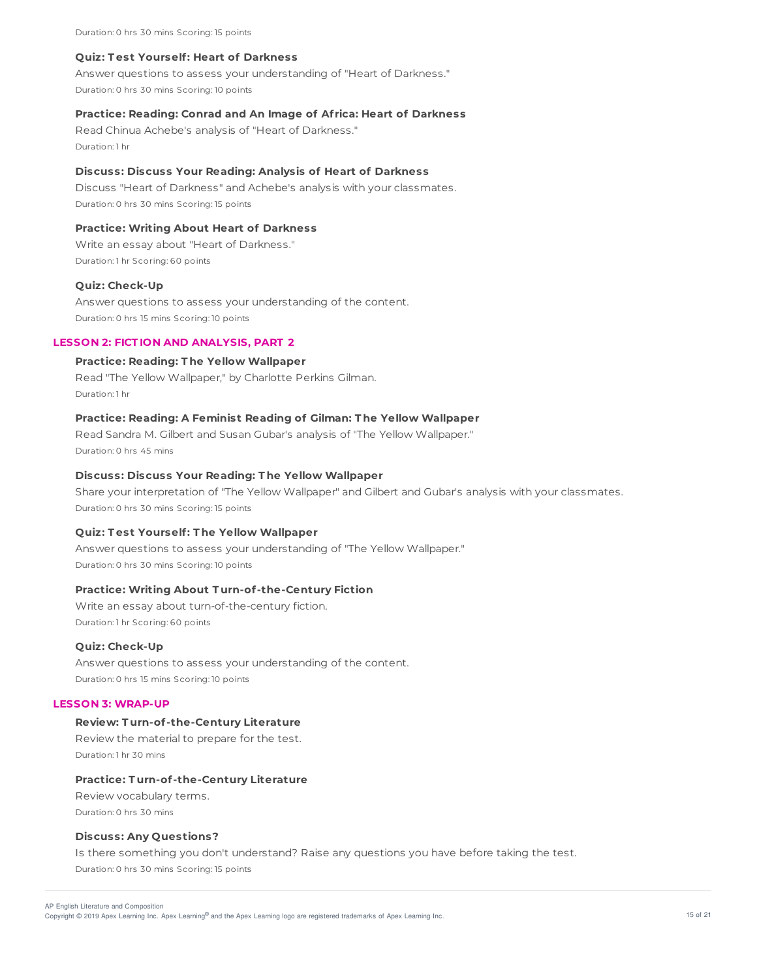Duration: 0 hrs 30 mins Scoring: 15 points

#### **Quiz: T est Yourself: Heart of Darkness**

Answer questions to assess your understanding of "Heart of Darkness." Duration: 0 hrs 30 mins Scoring: 10 points

## **Practice: Reading: Conrad and An Image of Af rica: Heart of Darkness**

Read Chinua Achebe's analysis of "Heart of Darkness." Duration: 1 hr

### **Discuss: Discuss Your Reading: Analysis of Heart of Darkness**

Discuss "Heart of Darkness" and Achebe's analysis with your classmates. Duration: 0 hrs 30 mins Scoring: 15 points

#### **Practice: Writing About Heart of Darkness**

Write an essay about "Heart of Darkness." Duration: 1 hr Scoring: 60 points

### **Quiz: Check-Up**

Answer questions to assess your understanding of the content. Duration: 0 hrs 15 mins Scoring: 10 points

#### **LESSON 2: FICT ION AND ANALYSIS, PART 2**

### **Practice: Reading: T he Yellow Wallpaper**

Read "The Yellow Wallpaper," by Charlotte Perkins Gilman. Duration: 1 hr

## **Practice: Reading: A Feminist Reading of Gilman: T he Yellow Wallpaper**

Read Sandra M. Gilbert and Susan Gubar's analysis of "The Yellow Wallpaper." Duration: 0 hrs 45 mins

#### **Discuss: Discuss Your Reading: T he Yellow Wallpaper**

Share your interpretation of "The Yellow Wallpaper" and Gilbert and Gubar's analysis with your classmates. Duration: 0 hrs 30 mins Scoring: 15 points

#### **Quiz: T est Yourself: T he Yellow Wallpaper**

Answer questions to assess your understanding of "The Yellow Wallpaper." Duration: 0 hrs 30 mins Scoring: 10 points

#### **Practice: Writing About T urn-of-the-Century Fiction**

Write an essay about turn-of-the-century fiction. Duration: 1 hr Scoring: 60 points

#### **Quiz: Check-Up**

Answer questions to assess your understanding of the content. Duration: 0 hrs 15 mins Scoring: 10 points

#### **LESSON 3: WRAP-UP**

## **Review: T urn-of-the-Century Literature**

Review the material to prepare for the test. Duration: 1 hr 30 mins

#### **Practice: T urn-of-the-Century Literature**

Review vocabulary terms. Duration: 0 hrs 30 mins

#### **Discuss: Any Questions?**

Is there something you don't understand? Raise any questions you have before taking the test. Duration: 0 hrs 30 mins Scoring: 15 points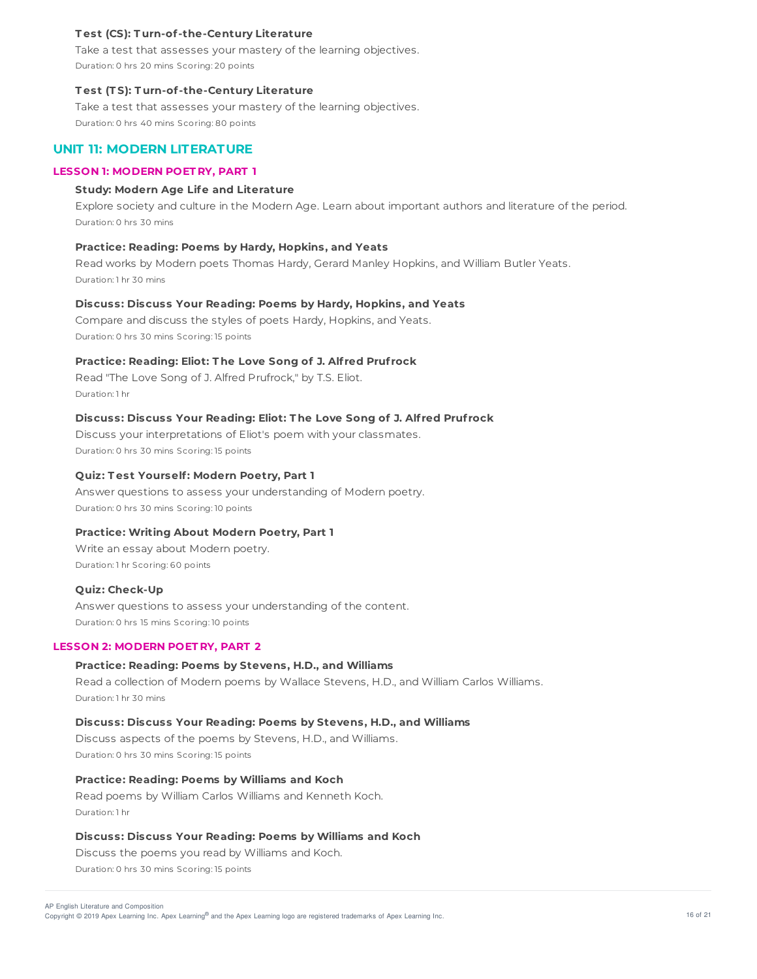## **T est (CS): T urn-of-the-Century Literature**

Take a test that assesses your mastery of the learning objectives. Duration: 0 hrs 20 mins Scoring: 20 points

#### **T est (T S): T urn-of-the-Century Literature**

Take a test that assesses your mastery of the learning objectives. Duration: 0 hrs 40 mins Scoring: 80 points

# **UNIT 11: MODERN LITERATURE**

## **LESSON 1: MODERN POET RY, PART 1**

### **Study: Modern Age Life and Literature**

Explore society and culture in the Modern Age. Learn about important authors and literature of the period. Duration: 0 hrs 30 mins

#### **Practice: Reading: Poems by Hardy, Hopkins, and Yeats**

Read works by Modern poets Thomas Hardy, Gerard Manley Hopkins, and William Butler Yeats. Duration: 1 hr 30 mins

## **Discuss: Discuss Your Reading: Poems by Hardy, Hopkins, and Yeats**

Compare and discuss the styles of poets Hardy, Hopkins, and Yeats. Duration: 0 hrs 30 mins Scoring: 15 points

## **Practice: Reading: Eliot: T he Love Song of J. Alf red Pruf rock**

Read "The Love Song of J. Alfred Prufrock," by T.S. Eliot. Duration: 1 hr

## **Discuss: Discuss Your Reading: Eliot: T he Love Song of J. Alf red Pruf rock**

Discuss your interpretations of Eliot's poem with your classmates. Duration: 0 hrs 30 mins Scoring: 15 points

#### **Quiz: T est Yourself: Modern Poetry, Part 1**

Answer questions to assess your understanding of Modern poetry. Duration: 0 hrs 30 mins Scoring: 10 points

## **Practice: Writing About Modern Poetry, Part 1**

Write an essay about Modern poetry. Duration: 1 hr Scoring: 60 points

#### **Quiz: Check-Up**

Answer questions to assess your understanding of the content. Duration: 0 hrs 15 mins Scoring: 10 points

## **LESSON 2: MODERN POET RY, PART 2**

## **Practice: Reading: Poems by Stevens, H.D., and Williams**

Read a collection of Modern poems by Wallace Stevens, H.D., and William Carlos Williams. Duration: 1 hr 30 mins

### **Discuss: Discuss Your Reading: Poems by Stevens, H.D., and Williams**

Discuss aspects of the poems by Stevens, H.D., and Williams. Duration: 0 hrs 30 mins Scoring: 15 points

#### **Practice: Reading: Poems by Williams and Koch**

Read poems by William Carlos Williams and Kenneth Koch. Duration: 1 hr

#### **Discuss: Discuss Your Reading: Poems by Williams and Koch**

Discuss the poems you read by Williams and Koch.

Duration: 0 hrs 30 mins Scoring: 15 points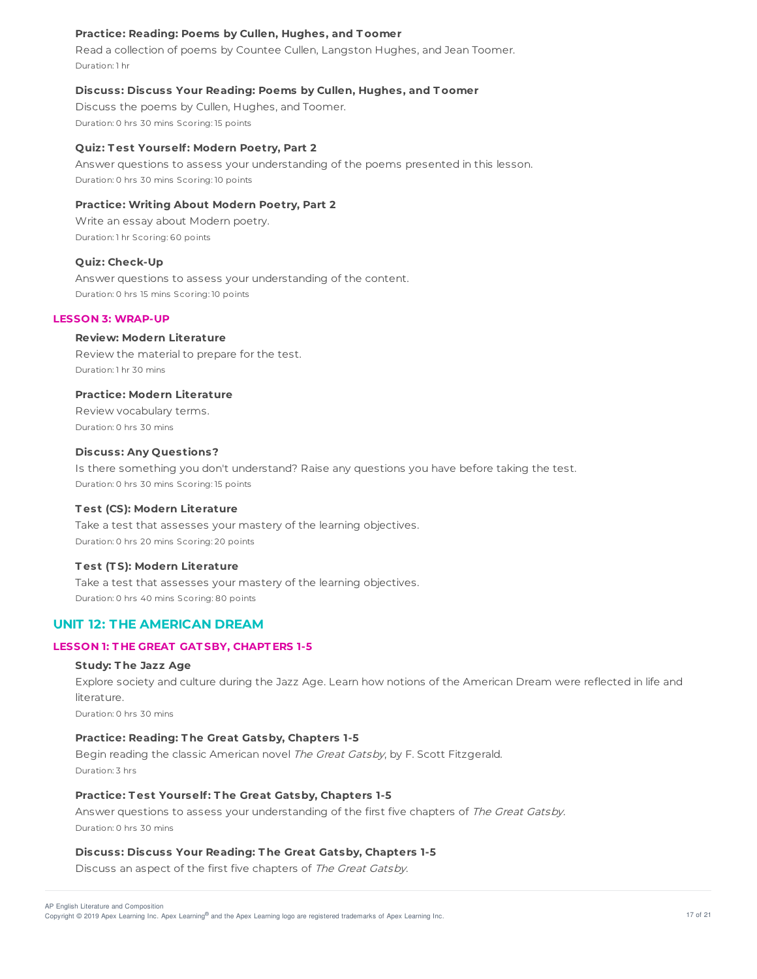## **Practice: Reading: Poems by Cullen, Hughes, and T oomer**

Read a collection of poems by Countee Cullen, Langston Hughes, and Jean Toomer. Duration: 1 hr

## **Discuss: Discuss Your Reading: Poems by Cullen, Hughes, and T oomer**

Discuss the poems by Cullen, Hughes, and Toomer. Duration: 0 hrs 30 mins Scoring: 15 points

#### **Quiz: T est Yourself: Modern Poetry, Part 2**

Answer questions to assess your understanding of the poems presented in this lesson. Duration: 0 hrs 30 mins Scoring: 10 points

# **Practice: Writing About Modern Poetry, Part 2**

Write an essay about Modern poetry. Duration: 1 hr Scoring: 60 points

### **Quiz: Check-Up**

Answer questions to assess your understanding of the content. Duration: 0 hrs 15 mins Scoring: 10 points

## **LESSON 3: WRAP-UP**

## **Review: Modern Literature**

Review the material to prepare for the test. Duration: 1 hr 30 mins

## **Practice: Modern Literature**

Review vocabulary terms. Duration: 0 hrs 30 mins

## **Discuss: Any Questions?**

Is there something you don't understand? Raise any questions you have before taking the test. Duration: 0 hrs 30 mins Scoring: 15 points

#### **T est (CS): Modern Literature**

Take a test that assesses your mastery of the learning objectives. Duration: 0 hrs 20 mins Scoring: 20 points

#### **T est (T S): Modern Literature**

Take a test that assesses your mastery of the learning objectives. Duration: 0 hrs 40 mins Scoring: 80 points

# **UNIT 12: THE AMERICAN DREAM**

# **LESSON 1: T HE GREAT GAT SBY, CHAPT ERS 1-5**

#### **Study: T he Jazz Age**

Explore society and culture during the Jazz Age. Learn how notions of the American Dream were reflected in life and literature.

Duration: 0 hrs 30 mins

# **Practice: Reading: T he Great Gatsby, Chapters 1-5**

Begin reading the classic American novel The Great Gatsby, by F. Scott Fitzgerald. Duration: 3 hrs

#### **Practice: T est Yourself: T he Great Gatsby, Chapters 1-5**

Answer questions to assess your understanding of the first five chapters of The Great Gatsby. Duration: 0 hrs 30 mins

#### **Discuss: Discuss Your Reading: T he Great Gatsby, Chapters 1-5**

Discuss an aspect of the first five chapters of The Great Gatsby.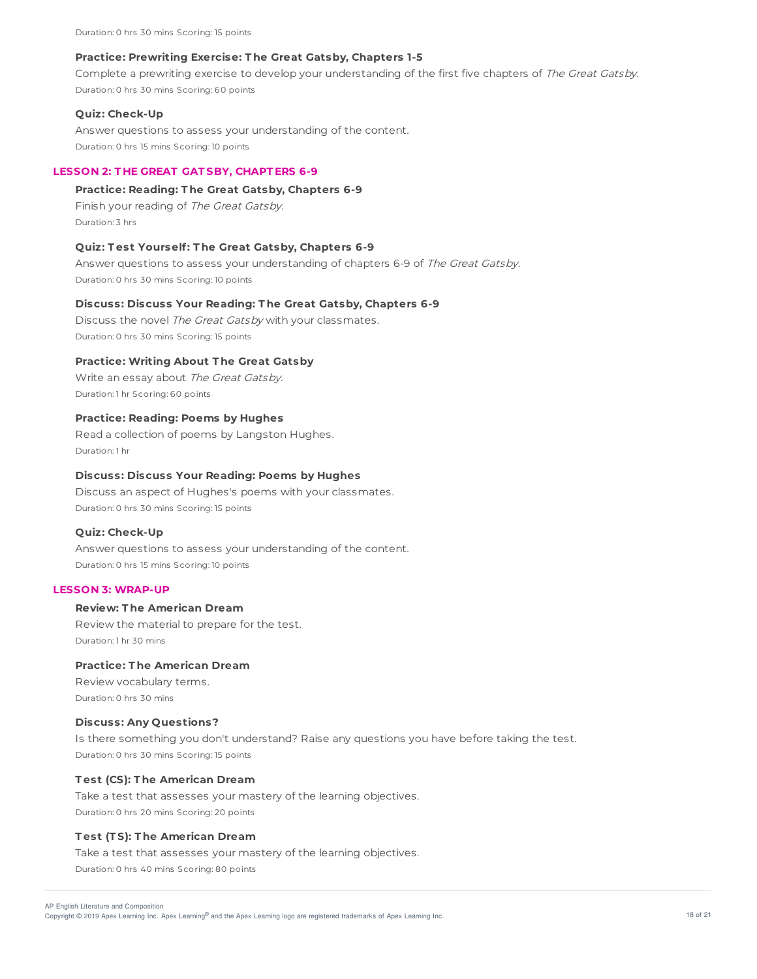Duration: 0 hrs 30 mins Scoring: 15 points

## **Practice: Prewriting Exercise: T he Great Gatsby, Chapters 1-5**

Complete a prewriting exercise to develop your understanding of the first five chapters of The Great Gatsby. Duration: 0 hrs 30 mins Scoring: 60 points

### **Quiz: Check-Up**

Answer questions to assess your understanding of the content. Duration: 0 hrs 15 mins Scoring: 10 points

## **LESSON 2: T HE GREAT GAT SBY, CHAPT ERS 6-9**

#### **Practice: Reading: T he Great Gatsby, Chapters 6-9**

Finish your reading of The Great Gatsby. Duration: 3 hrs

#### **Quiz: T est Yourself: T he Great Gatsby, Chapters 6-9**

Answer questions to assess your understanding of chapters 6-9 of The Great Gatsby. Duration: 0 hrs 30 mins Scoring: 10 points

## **Discuss: Discuss Your Reading: T he Great Gatsby, Chapters 6-9**

Discuss the novel The Great Gatsby with your classmates. Duration: 0 hrs 30 mins Scoring: 15 points

### **Practice: Writing About T he Great Gatsby**

Write an essay about The Great Gatsby. Duration: 1 hr Scoring: 60 points

# **Practice: Reading: Poems by Hughes**

Read a collection of poems by Langston Hughes. Duration: 1 hr

## **Discuss: Discuss Your Reading: Poems by Hughes**

Discuss an aspect of Hughes's poems with your classmates. Duration: 0 hrs 30 mins Scoring: 15 points

#### **Quiz: Check-Up**

Answer questions to assess your understanding of the content. Duration: 0 hrs 15 mins Scoring: 10 points

# **LESSON 3: WRAP-UP**

# **Review: T he American Dream**

Review the material to prepare for the test. Duration: 1 hr 30 mins

# **Practice: T he American Dream**

Review vocabulary terms. Duration: 0 hrs 30 mins

### **Discuss: Any Questions?**

Is there something you don't understand? Raise any questions you have before taking the test. Duration: 0 hrs 30 mins Scoring: 15 points

#### **T est (CS): T he American Dream**

Take a test that assesses your mastery of the learning objectives. Duration: 0 hrs 20 mins Scoring: 20 points

## **T est (T S): T he American Dream**

Take a test that assesses your mastery of the learning objectives. Duration: 0 hrs 40 mins Scoring: 80 points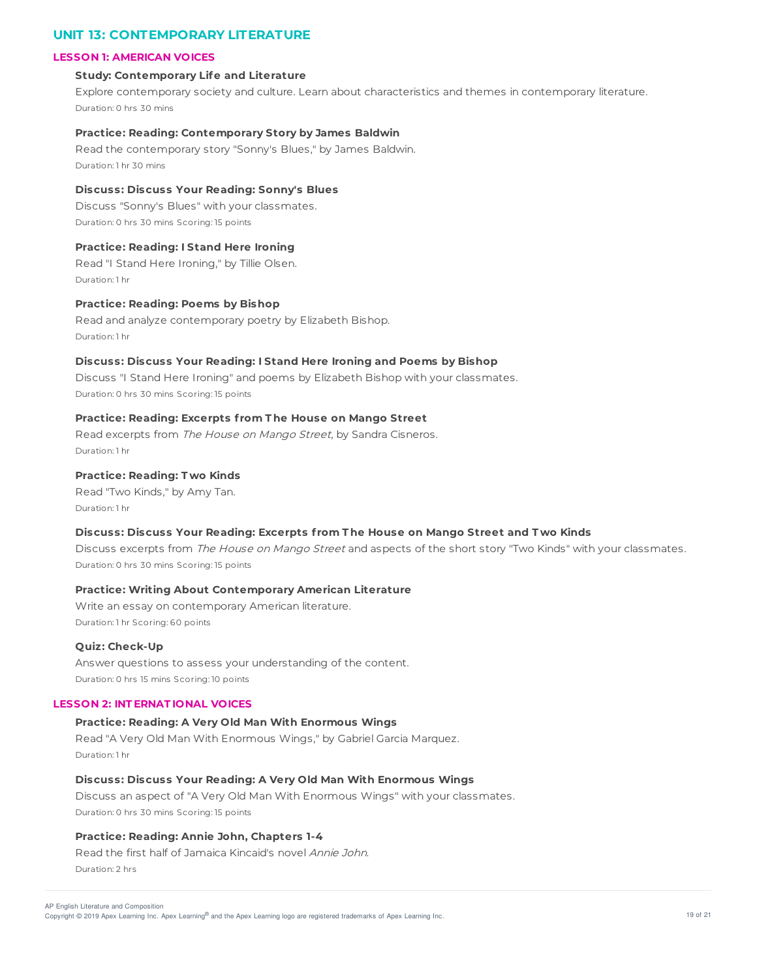# **UNIT 13: CONTEMPORARY LITERATURE**

## **LESSON 1: AMERICAN VOICES**

#### **Study: Contemporary Life and Literature**

Explore contemporary society and culture. Learn about characteristics and themes in contemporary literature. Duration: 0 hrs 30 mins

#### **Practice: Reading: Contemporary Story by James Baldwin**

Read the contemporary story "Sonny's Blues," by James Baldwin. Duration: 1 hr 30 mins

### **Discuss: Discuss Your Reading: Sonny's Blues**

Discuss "Sonny's Blues" with your classmates. Duration: 0 hrs 30 mins Scoring: 15 points

#### **Practice: Reading: I Stand Here Ironing**

Read "I Stand Here Ironing," by Tillie Olsen. Duration: 1 hr

## **Practice: Reading: Poems by Bishop**

Read and analyze contemporary poetry by Elizabeth Bishop. Duration: 1 hr

## **Discuss: Discuss Your Reading: I Stand Here Ironing and Poems by Bishop**

Discuss "I Stand Here Ironing" and poems by Elizabeth Bishop with your classmates. Duration: 0 hrs 30 mins Scoring: 15 points

# **Practice: Reading: Excerpts f rom T he House on Mango Street**

Read excerpts from The House on Mango Street, by Sandra Cisneros. Duration: 1 hr

# **Practice: Reading: T wo Kinds**

Read "Two Kinds," by Amy Tan. Duration: 1 hr

#### **Discuss: Discuss Your Reading: Excerpts f rom T he House on Mango Street and T wo Kinds**

Discuss excerpts from The House on Mango Street and aspects of the short story "Two Kinds" with your classmates. Duration: 0 hrs 30 mins Scoring: 15 points

## **Practice: Writing About Contemporary American Literature**

Write an essay on contemporary American literature. Duration: 1 hr Scoring: 60 points

## **Quiz: Check-Up**

Answer questions to assess your understanding of the content. Duration: 0 hrs 15 mins Scoring: 10 points

#### **LESSON 2: INT ERNAT IONAL VOICES**

# **Practice: Reading: A Very Old Man With Enormous Wings**

Read "A Very Old Man With Enormous Wings," by Gabriel Garcia Marquez. Duration: 1 hr

#### **Discuss: Discuss Your Reading: A Very Old Man With Enormous Wings**

Discuss an aspect of "A Very Old Man With Enormous Wings" with your classmates. Duration: 0 hrs 30 mins Scoring: 15 points

# **Practice: Reading: Annie John, Chapters 1-4**

Read the first half of Jamaica Kincaid's novel Annie John. Duration: 2 hrs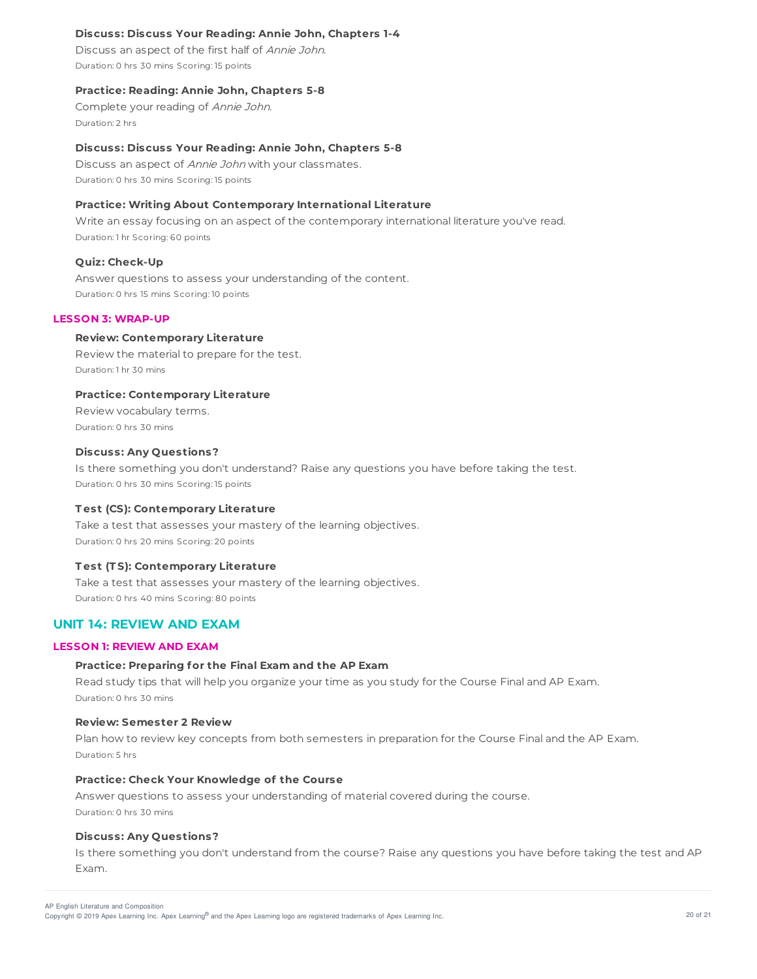## **Discuss: Discuss Your Reading: Annie John, Chapters 1-4**

Discuss an aspect of the first half of Annie John. Duration: 0 hrs 30 mins Scoring: 15 points

## **Practice: Reading: Annie John, Chapters 5-8**

Complete your reading of Annie John. Duration: 2 hrs

#### **Discuss: Discuss Your Reading: Annie John, Chapters 5-8**

Discuss an aspect of Annie John with your classmates. Duration: 0 hrs 30 mins Scoring: 15 points

#### **Practice: Writing About Contemporary International Literature**

Write an essay focusing on an aspect of the contemporary international literature you've read. Duration: 1 hr Scoring: 60 points

#### **Quiz: Check-Up**

Answer questions to assess your understanding of the content. Duration: 0 hrs 15 mins Scoring: 10 points

#### **LESSON 3: WRAP-UP**

### **Review: Contemporary Literature**

Review the material to prepare for the test. Duration: 1 hr 30 mins

## **Practice: Contemporary Literature**

Review vocabulary terms. Duration: 0 hrs 30 mins

## **Discuss: Any Questions?**

Is there something you don't understand? Raise any questions you have before taking the test. Duration: 0 hrs 30 mins Scoring: 15 points

#### **T est (CS): Contemporary Literature**

Take a test that assesses your mastery of the learning objectives. Duration: 0 hrs 20 mins Scoring: 20 points

#### **T est (T S): Contemporary Literature**

Take a test that assesses your mastery of the learning objectives. Duration: 0 hrs 40 mins Scoring: 80 points

# **UNIT 14: REVIEW AND EXAM**

# **LESSON 1: REVIEW AND EXAM**

#### **Practice: Preparing for the Final Exam and the AP Exam**

Read study tips that will help you organize your time as you study for the Course Final and AP Exam. Duration: 0 hrs 30 mins

#### **Review: Semester 2 Review**

Plan how to review key concepts from both semesters in preparation for the Course Final and the AP Exam. Duration: 5 hrs

#### **Practice: Check Your Knowledge of the Course**

Answer questions to assess your understanding of material covered during the course. Duration: 0 hrs 30 mins

# **Discuss: Any Questions?**

Is there something you don't understand from the course? Raise any questions you have before taking the test and AP Exam.